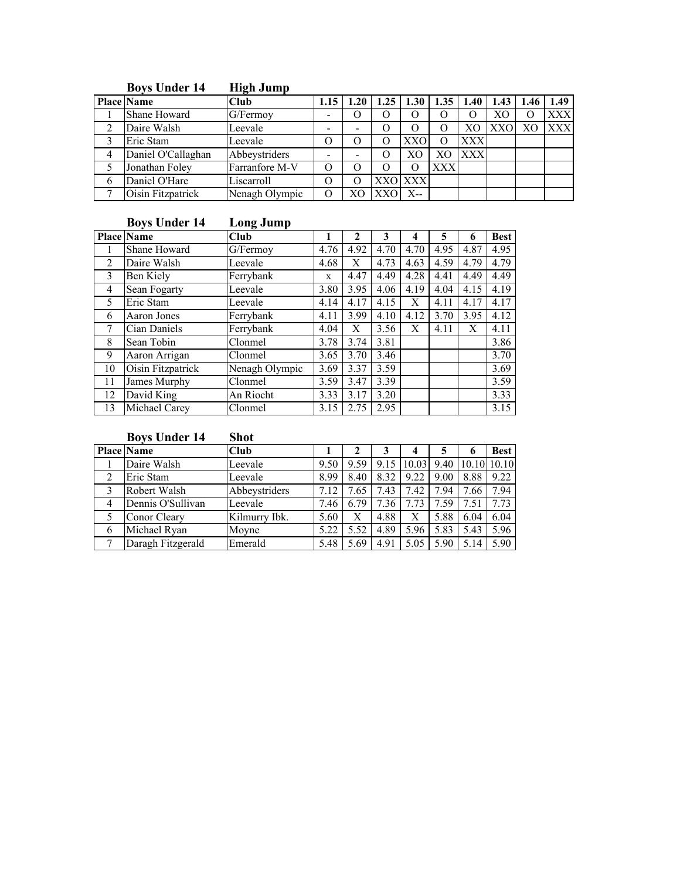|   | 20,000                  | mpu vamp       |                          |      |                     |                |                  |                 |            |                   |            |
|---|-------------------------|----------------|--------------------------|------|---------------------|----------------|------------------|-----------------|------------|-------------------|------------|
|   | $\overline{Place}$ Name | <b>Club</b>    | 1.15                     | 1.20 | 1.25                | 1.30           |                  | $1.35 \pm 1.40$ | 1.43       | 1.46              | 1.49       |
|   | Shane Howard            | G/Fermoy       | -                        |      | 0                   | 0              | $\theta$         |                 | XO.        | $\mathbf{\Omega}$ | <b>XXX</b> |
|   | Daire Walsh             | Leevale        | $\overline{\phantom{a}}$ |      |                     | 0              |                  | XО              | <b>XXO</b> | X <sub>O</sub>    | <b>XXX</b> |
|   | Eric Stam               | Leevale        | ( )                      |      |                     | XXO            | $\left( \right)$ | <b>XXX</b>      |            |                   |            |
|   | Daniel O'Callaghan      | Abbeystriders  | $\overline{\phantom{0}}$ |      |                     | X <sub>O</sub> | X <sub>O</sub>   | <b>XXX</b>      |            |                   |            |
|   | Jonathan Foley          | Farranfore M-V | O                        |      | $\scriptstyle\rm O$ | 0              | XXX              |                 |            |                   |            |
| 6 | Daniel O'Hare           | Liscarroll     | O                        |      |                     | <b>XXO XXX</b> |                  |                 |            |                   |            |
|   | Oisin Fitzpatrick       | Nenagh Olympic |                          |      |                     | X--            |                  |                 |            |                   |            |

## Boys Under 14 High Jump

# Boys Under 14 Long Jump

|              | <b>Place Name</b> | Club           |      | $\mathbf{2}$ | 3    | 4    | 5    | 6    | <b>Best</b> |
|--------------|-------------------|----------------|------|--------------|------|------|------|------|-------------|
|              | Shane Howard      | G/Fermoy       | 4.76 | 4.92         | 4.70 | 4.70 | 4.95 | 4.87 | 4.95        |
| 2            | Daire Walsh       | Leevale        | 4.68 | X            | 4.73 | 4.63 | 4.59 | 4.79 | 4.79        |
| $\mathbf{3}$ | Ben Kiely         | Ferrybank      | X    | 4.47         | 4.49 | 4.28 | 4.41 | 4.49 | 4.49        |
| 4            | Sean Fogarty      | Leevale        | 3.80 | 3.95         | 4.06 | 4.19 | 4.04 | 4.15 | 4.19        |
| 5            | Eric Stam         | Leevale        | 4.14 | 4.17         | 4.15 | Х    | 4.11 | 4.17 | 4.17        |
| 6            | Aaron Jones       | Ferrybank      | 4.11 | 3.99         | 4.10 | 4.12 | 3.70 | 3.95 | 4.12        |
|              | Cian Daniels      | Ferrybank      | 4.04 | X            | 3.56 | X    | 4.11 | X    | 4.11        |
| 8            | Sean Tobin        | Clonmel        | 3.78 | 3.74         | 3.81 |      |      |      | 3.86        |
| 9            | Aaron Arrigan     | Clonmel        | 3.65 | 3.70         | 3.46 |      |      |      | 3.70        |
| 10           | Oisin Fitzpatrick | Nenagh Olympic | 3.69 | 3.37         | 3.59 |      |      |      | 3.69        |
| 11           | James Murphy      | Clonmel        | 3.59 | 3.47         | 3.39 |      |      |      | 3.59        |
| 12           | David King        | An Riocht      | 3.33 | 3.17         | 3.20 |      |      |      | 3.33        |
| 13           | Michael Carey     | Clonmel        | 3.15 | 2.75         | 2.95 |      |      |      | 3.15        |

# Boys Under 14 Shot

|   | <b>Place Name</b> | Club          |      |      |      |                |      |                  | <b>Best</b> |
|---|-------------------|---------------|------|------|------|----------------|------|------------------|-------------|
|   | Daire Walsh       | Leevale       | 9.50 | 9.59 |      | $9.15$   10.03 |      | 9.40 10.10 10.10 |             |
| າ | Eric Stam         | Leevale       | 8.99 | 8.40 | 8.32 | 9.22           | 9.00 | 8.88             | 9.22        |
|   | Robert Walsh      | Abbeystriders | 7.12 | 7.65 | 7.43 | 7.42           | 7.94 | 7.66             | 7.94        |
| 4 | Dennis O'Sullivan | Leevale       | 7.46 | 6.79 | 7.36 | 7.73           | 7.59 | 7.51             | 7.73        |
|   | Conor Cleary      | Kilmurry Ibk. | 5.60 |      | 4.88 | X              | 5.88 | 6.04             | 6.04        |
| 6 | Michael Ryan      | Moyne         | 5.22 | 5.52 | 4.89 | 5.96           | 5.83 | 5.43             | 5.96        |
|   | Daragh Fitzgerald | Emerald       | 5.48 | 5.69 | 4.91 | 5.05           | 5.90 | 5.14             | 5.90        |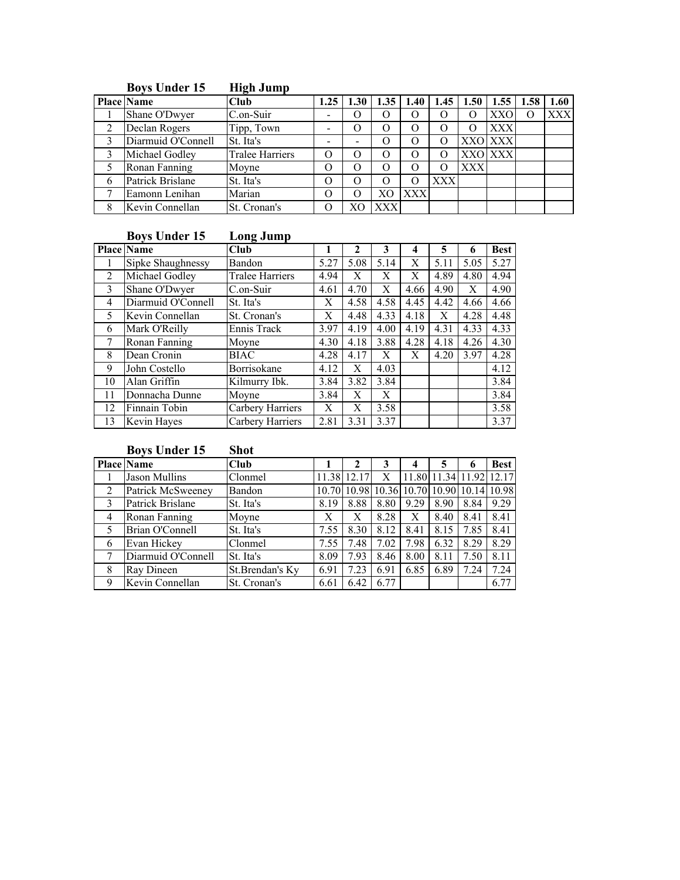|   | $\sim$ , $\sim$ $\sim$ music $\sim$ |                        |      |      |                  |            |            |            |            |      |            |
|---|-------------------------------------|------------------------|------|------|------------------|------------|------------|------------|------------|------|------------|
|   | <b>Place Name</b>                   | <b>Club</b>            | 1.25 | 1.30 | 1.35             | 1.40       | 1.45       | 1.50       | 1.55       | 1.58 | 1.60       |
|   | Shane O'Dwyer                       | C.on-Suir              |      |      | $\theta$         | $\theta$   |            |            | <b>XXO</b> | 0    | <b>XXX</b> |
| 2 | Declan Rogers                       | Tipp, Town             |      |      | $\Omega$         | O          |            |            | <b>XXX</b> |      |            |
| 3 | Diarmuid O'Connell                  | St. Ita's              |      |      | $\theta$         | $\Omega$   |            |            | XXO XXX    |      |            |
|   | Michael Godley                      | <b>Tralee Harriers</b> |      |      | $\epsilon$       | $\Omega$   |            |            | XXO XXX    |      |            |
|   | Ronan Fanning                       | Moyne                  |      |      | $\Omega$         | O          |            | <b>XXX</b> |            |      |            |
| 6 | Patrick Brislane                    | St. Ita's              |      |      | $\left( \right)$ | 0          | <b>XXX</b> |            |            |      |            |
|   | Eamonn Lenihan                      | Marian                 |      |      | XО               | <b>XXX</b> |            |            |            |      |            |
| 8 | Kevin Connellan                     | St. Cronan's           |      |      | <b>XXX</b>       |            |            |            |            |      |            |

#### Boys Under 15 High Jump

# Boys Under 15 Long Jump

|               | <b>Place Name</b>  | Cl <sub>u</sub>  |      | $\mathbf{2}$  | 3    | 4    | 5    | 6    | <b>Best</b> |
|---------------|--------------------|------------------|------|---------------|------|------|------|------|-------------|
|               | Sipke Shaughnessy  | Bandon           | 5.27 | 5.08          | 5.14 | X    | 5.11 | 5.05 | 5.27        |
| 2             | Michael Godley     | Tralee Harriers  | 4.94 | Х             | X    | X    | 4.89 | 4.80 | 4.94        |
| $\mathcal{E}$ | Shane O'Dwyer      | C.on-Suir        | 4.61 | 4.70          | X    | 4.66 | 4.90 | X    | 4.90        |
| 4             | Diarmuid O'Connell | St. Ita's        | X    | 4.58          | 4.58 | 4.45 | 4.42 | 4.66 | 4.66        |
| 5             | Kevin Connellan    | St. Cronan's     | X    | 4.48          | 4.33 | 4.18 | X    | 4.28 | 4.48        |
| 6             | Mark O'Reilly      | Ennis Track      | 3.97 | 4.19          | 4.00 | 4.19 | 4.31 | 4.33 | 4.33        |
|               | Ronan Fanning      | Moyne            | 4.30 | 4.18          | 3.88 | 4.28 | 4.18 | 4.26 | 4.30        |
| 8             | Dean Cronin        | <b>BIAC</b>      | 4.28 | 4.17          | Х    | Х    | 4.20 | 3.97 | 4.28        |
| 9             | John Costello      | Borrisokane      | 4.12 | X             | 4.03 |      |      |      | 4.12        |
| 10            | Alan Griffin       | Kilmurry Ibk.    | 3.84 | 3.82          | 3.84 |      |      |      | 3.84        |
| 11            | Donnacha Dunne     | Moyne            | 3.84 | Х             | X    |      |      |      | 3.84        |
| 12            | Finnain Tobin      | Carbery Harriers | X    | X             | 3.58 |      |      |      | 3.58        |
| 13            | Kevin Hayes        | Carbery Harriers | 2.81 | $3.3^{\circ}$ | 3.37 |      |      |      | 3.37        |

# Boys Under 15 Shot

|                | <b>Place Name</b>       | <b>Club</b>     |      |                                           |      |      |                   |      | <b>Best</b> |
|----------------|-------------------------|-----------------|------|-------------------------------------------|------|------|-------------------|------|-------------|
|                | Jason Mullins           | Clonmel         |      | 11.38 12.17                               | Х    |      | 11.80 11.34 11.92 |      | 12.17       |
| 2              | Patrick McSweeney       | Bandon          |      | 10.70 10.98 10.36 10.70 10.90 10.14 10.98 |      |      |                   |      |             |
| 3              | <b>Patrick Brislane</b> | St. Ita's       | 8.19 | 8.88                                      | 8.80 | 9.29 | 8.90              | 8.84 | 9.29        |
| $\overline{4}$ | Ronan Fanning           | Moyne           | Х    | Х                                         | 8.28 | Х    | 8.40              | 8.41 | 8.41        |
| 5              | Brian O'Connell         | St. Ita's       | 7.55 | 8.30                                      | 8.12 | 8.41 | 8.15              | 7.85 | 8.41        |
| 6              | Evan Hickey             | Clonmel         | 7.55 | 7.48                                      | 7.02 | 7.98 | 6.32              | 8.29 | 8.29        |
| 7              | Diarmuid O'Connell      | St. Ita's       | 8.09 | 7.93                                      | 8.46 | 8.00 | 8.11              | 7.50 | 8.11        |
| 8              | Ray Dineen              | St.Brendan's Ky | 6.91 | 7.23                                      | 6.91 | 6.85 | 6.89              | 7.24 | 7.24        |
| 9              | Kevin Connellan         | St. Cronan's    | 6.61 | 6.42                                      | 6.77 |      |                   |      | 6.77        |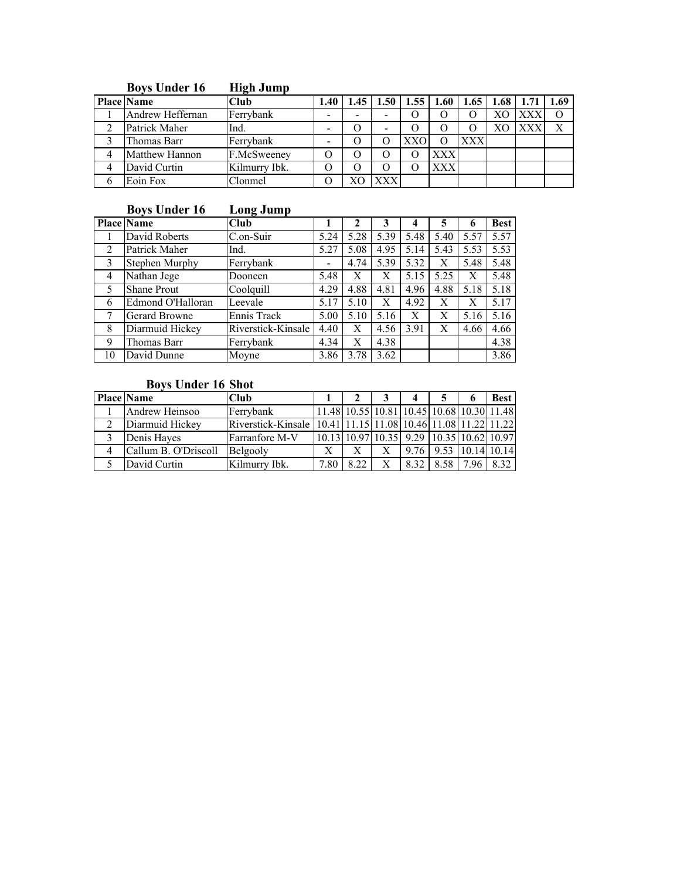| $D0$ , $D1$ chuch to  | ппен очинр    |      |                 |              |      |            |                             |   |
|-----------------------|---------------|------|-----------------|--------------|------|------------|-----------------------------|---|
| <b>Place Name</b>     | Club          | 1.40 | $1.45 \pm 1.50$ | $1.55 \perp$ | 1.60 |            | $1.65$   1.68   1.71   1.69 |   |
| Andrew Heffernan      | Ferrybank     | -    |                 |              |      |            | <b>XXX</b>                  |   |
| Patrick Maher         | Ind.          | -    | -               |              |      |            | <b>XXX</b>                  | X |
| Thomas Barr           | Ferrybank     | -    |                 | XXO          |      | <b>XXX</b> |                             |   |
| <b>Matthew Hannon</b> | F.McSweeney   |      |                 |              | XXX  |            |                             |   |
| David Curtin          | Kilmurry Ibk. |      |                 |              | XXX  |            |                             |   |
| Eoin Fox              | Clonmel       |      | XXX.            |              |      |            |                             |   |

### Boys Under 16 High Jump

### Boys Under 16 Long Jump

|                | Place Name         | Club               |      | 2    | 3    | 4    | 5    |      | <b>Best</b> |
|----------------|--------------------|--------------------|------|------|------|------|------|------|-------------|
|                | David Roberts      | C.on-Suir          | 5.24 | 5.28 | 5.39 | 5.48 | 5.40 | 5.57 | 5.57        |
| 2              | Patrick Maher      | Ind.               | 5.27 | 5.08 | 4.95 | 5.14 | 5.43 | 5.53 | 5.53        |
| 3              | Stephen Murphy     | Ferrybank          | -    | 4.74 | 5.39 | 5.32 | Х    | 5.48 | 5.48        |
| $\overline{4}$ | Nathan Jege        | Dooneen            | 5.48 | Х    | Х    | 5.15 | 5.25 | Х    | 5.48        |
| 5              | <b>Shane Prout</b> | Coolquill          | 4.29 | 4.88 | 4.81 | 4.96 | 4.88 | 5.18 | 5.18        |
| 6              | Edmond O'Halloran  | Leevale            | 5.17 | 5.10 | Х    | 4.92 | X    | Х    | 5.17        |
|                | Gerard Browne      | Ennis Track        | 5.00 | 5.10 | 5.16 | X    | X    | 5.16 | 5.16        |
| 8              | Diarmuid Hickey    | Riverstick-Kinsale | 4.40 | X    | 4.56 | 3.91 | X    | 4.66 | 4.66        |
| 9              | Thomas Barr        | Ferrybank          | 4.34 | X    | 4.38 |      |      |      | 4.38        |
| 10             | David Dunne        | Moyne              | 3.86 | 3.78 | 3.62 |      |      |      | 3.86        |

# Boys Under 16 Shot

| <b>Place Name</b>    | <b>Club</b>                                                  |      |                                           |   | 4    |      |                        | <b>Best</b> |
|----------------------|--------------------------------------------------------------|------|-------------------------------------------|---|------|------|------------------------|-------------|
| Andrew Heinsoo       | Ferrybank                                                    |      | 11.48 10.55 10.81 10.45 10.68 10.30 11.48 |   |      |      |                        |             |
| Diarmuid Hickey      | Riverstick-Kinsale 10.41 11.15 11.08 10.46 11.08 11.22 11.22 |      |                                           |   |      |      |                        |             |
| Denis Hayes          | Farranfore M-V                                               |      | 10.13 10.97 10.35 9.29 10.35 10.62 10.97  |   |      |      |                        |             |
| Callum B. O'Driscoll | Belgooly                                                     | X    |                                           | Х | 9.76 |      | $9.53$   10.14   10.14 |             |
| David Curtin         | Kilmurry Ibk.                                                | 7.80 | 822                                       | X | 8.32 | 8.58 |                        |             |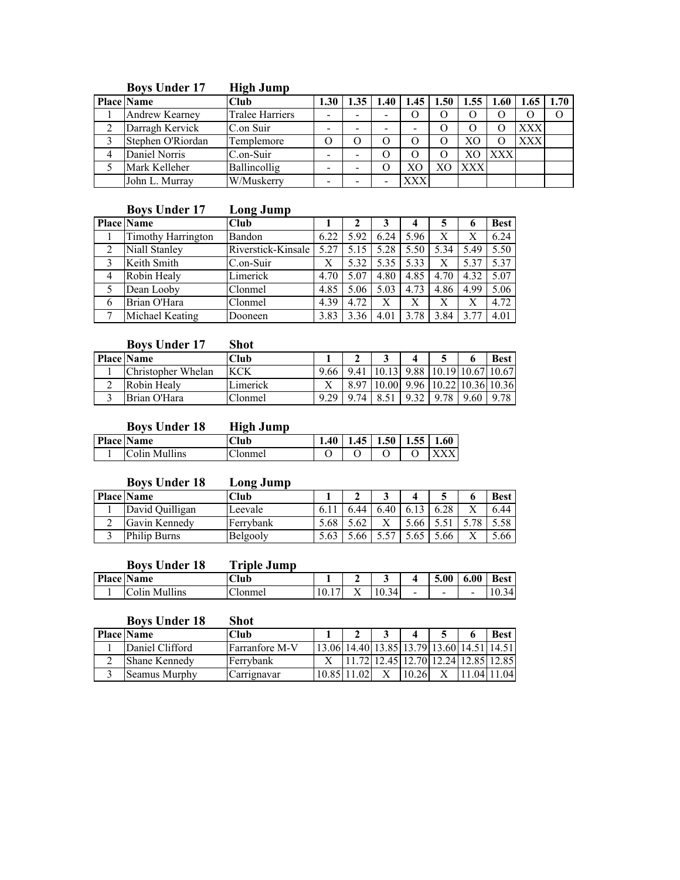| $P_{\rm O}$ , $P_{\rm O}$ and $P_{\rm O}$ | пцен очшр              |                          |                  |           |    |                       |            |            |      |
|-------------------------------------------|------------------------|--------------------------|------------------|-----------|----|-----------------------|------------|------------|------|
| $\overline{\text{Place}}$ Name            | <b>Club</b>            | 1.30                     | .40 <sub>1</sub> | $1.45 \;$ |    | $1.50 \mid 1.55 \mid$ | 1.60       | 1.65       | 1.70 |
| Andrew Kearney                            | <b>Tralee Harriers</b> | $\overline{\phantom{0}}$ | -                | .)        |    |                       |            |            |      |
| Darragh Kervick                           | C.on Suir              | -                        |                  |           |    |                       |            | <b>XXX</b> |      |
| Stephen O'Riordan                         | Templemore             |                          |                  |           |    |                       |            | <b>XXX</b> |      |
| Daniel Norris                             | C.on-Suir              | -                        |                  |           |    |                       | <b>XXX</b> |            |      |
| Mark Kelleher                             | Ballincollig           | $\overline{\phantom{0}}$ |                  | XО        | XО | <b>XXX</b>            |            |            |      |
| John L. Murray                            | W/Muskerry             | $\overline{\phantom{0}}$ |                  | XXX       |    |                       |            |            |      |

#### Boys Under 17 High Jump

# Boys Under 17 Long Jump

|                | <b>Place Name</b>         | Club               |      |      |      |      | 5    |      | <b>Best</b> |
|----------------|---------------------------|--------------------|------|------|------|------|------|------|-------------|
|                | <b>Timothy Harrington</b> | Bandon             | 6.22 | 5.92 | 6.24 | 5.96 | X    |      | 6.24        |
| 2              | Niall Stanley             | Riverstick-Kinsale | 5.27 | 5.15 | 5.28 | 5.50 | 5.34 | 5.49 | 5.50        |
| 3              | Keith Smith               | C.on-Suir          | Х    | 5.32 | 5.35 | 5.33 | Х    | 5.37 | 5.37        |
| $\overline{4}$ | Robin Healy               | Limerick           | 4.70 | 5.07 | 4.80 | 4.85 | 4.70 | 4.32 | 5.07        |
|                | Dean Looby                | Clonmel            | 4.85 | 5.06 | 5.03 | 4.73 | 4.86 | 4.99 | 5.06        |
| 6              | Brian O'Hara              | Clonmel            | 4.39 | 4.72 | X    | Х    | Х    |      | 4.72        |
|                | Michael Keating           | Dooneen            | 3.83 | 3.36 | 4.01 | 3.78 | 3.84 | 3.77 | 4.01        |

#### Boys Under 17 Shot

| <b>Place Name</b>  | <b>Club</b> |                                                |  |                                             | <b>Best</b> |
|--------------------|-------------|------------------------------------------------|--|---------------------------------------------|-------------|
| Christopher Whelan | <b>KCK</b>  | 9.66 9.41 10.13 9.88 10.19 10.67 10.67         |  |                                             |             |
| Robin Healy        | Limerick    |                                                |  | 8.97   10.00   9.96   10.22   10.36   10.36 |             |
| Brian O'Hara       | Clonmel     | 9.29   9.74   8.51   9.32   9.78   9.60   9.78 |  |                                             |             |

## Boys Under 18 High Jump

| <b>Place Name</b> | Club                        | 40 <sup>1</sup> | 1451 | $1.50$ 1.55 | 1.60 |
|-------------------|-----------------------------|-----------------|------|-------------|------|
| Colin Mullins     | Cl <sub>C</sub>  <br>Jonmel |                 |      |             |      |

#### Boys Under 18 Long Jump

| <b>Place Name</b>   |                 | Club      |      |     |     |      | ມ   | <b>Best</b> |
|---------------------|-----------------|-----------|------|-----|-----|------|-----|-------------|
|                     | David Quilligan | Leevale   |      |     | .40 |      |     | 6.44        |
|                     | Gavin Kennedy   | Ferrybank | 5.68 |     |     | 5.66 |     |             |
| <b>Philip Burns</b> |                 | Belgooly  |      | .oo |     |      | .66 | .66         |

# Boys Under 18 Triple Jump

| <b>Place</b> | <b>Name</b>                       | $\sim$<br>Club      |      |            | ີ          |                          | 5.00 | 6.00 | Kaet                             |
|--------------|-----------------------------------|---------------------|------|------------|------------|--------------------------|------|------|----------------------------------|
|              | $\cdots$<br>⌒<br>olin.<br>Mullins | --<br><b>Tonmel</b> | 10.1 | $ -$<br>∡⊾ | ،⊿<br>10.5 | $\overline{\phantom{a}}$ | -    |      | $\Lambda$<br>⊶<br>$\mathsf{v}$ . |

## Boys Under 18 Shot

| <b>Place Name</b>    | <b>Club</b>           |                                           |       |  | <b>Best</b> |
|----------------------|-----------------------|-------------------------------------------|-------|--|-------------|
| Daniel Clifford      | <b>Farranfore M-V</b> | 13.06 14.40 13.85 13.79 13.60 14.51 14.51 |       |  |             |
| <b>Shane Kennedy</b> | Ferrybank             | 11.72 12.45 12.70 12.24 12.85 12.85       |       |  |             |
| Seamus Murphy        | Carrignavar           | 10.85 11.02                               | 10.26 |  | 1.04111.04  |